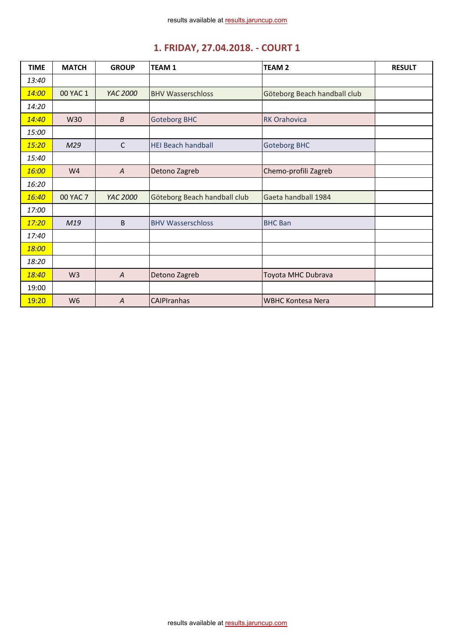| <b>TIME</b> | <b>MATCH</b>    | <b>GROUP</b>     | <b>TEAM1</b>                 | <b>TEAM 2</b>                | <b>RESULT</b> |
|-------------|-----------------|------------------|------------------------------|------------------------------|---------------|
| 13:40       |                 |                  |                              |                              |               |
| 14:00       | 00 YAC 1        | YAC 2000         | <b>BHV Wasserschloss</b>     | Göteborg Beach handball club |               |
| 14:20       |                 |                  |                              |                              |               |
| 14:40       | W30             | $\boldsymbol{B}$ | <b>Goteborg BHC</b>          | <b>RK Orahovica</b>          |               |
| 15:00       |                 |                  |                              |                              |               |
| 15:20       | M29             | $\mathsf{C}$     | <b>HEI Beach handball</b>    | <b>Goteborg BHC</b>          |               |
| 15:40       |                 |                  |                              |                              |               |
| 16:00       | W <sub>4</sub>  | $\overline{A}$   | Detono Zagreb                | Chemo-profili Zagreb         |               |
| 16:20       |                 |                  |                              |                              |               |
| 16:40       | <b>00 YAC 7</b> | YAC 2000         | Göteborg Beach handball club | Gaeta handball 1984          |               |
| 17:00       |                 |                  |                              |                              |               |
| 17:20       | M19             | B                | <b>BHV Wasserschloss</b>     | <b>BHC Ban</b>               |               |
| 17:40       |                 |                  |                              |                              |               |
| 18:00       |                 |                  |                              |                              |               |
| 18:20       |                 |                  |                              |                              |               |
| 18:40       | W <sub>3</sub>  | $\overline{A}$   | Detono Zagreb                | Toyota MHC Dubrava           |               |
| 19:00       |                 |                  |                              |                              |               |
| 19:20       | W <sub>6</sub>  | $\overline{A}$   | <b>CAIPIranhas</b>           | <b>WBHC Kontesa Nera</b>     |               |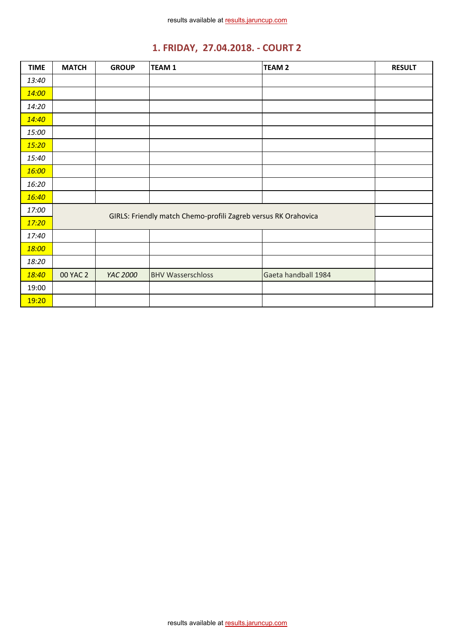| <b>TIME</b> | <b>MATCH</b> | <b>GROUP</b> | TEAM <sub>1</sub>                                              | TEAM <sub>2</sub>   | <b>RESULT</b> |
|-------------|--------------|--------------|----------------------------------------------------------------|---------------------|---------------|
| 13:40       |              |              |                                                                |                     |               |
| 14:00       |              |              |                                                                |                     |               |
| 14:20       |              |              |                                                                |                     |               |
| 14:40       |              |              |                                                                |                     |               |
| 15:00       |              |              |                                                                |                     |               |
| 15:20       |              |              |                                                                |                     |               |
| 15:40       |              |              |                                                                |                     |               |
| 16:00       |              |              |                                                                |                     |               |
| 16:20       |              |              |                                                                |                     |               |
| 16:40       |              |              |                                                                |                     |               |
| 17:00       |              |              | GIRLS: Friendly match Chemo-profili Zagreb versus RK Orahovica |                     |               |
| 17:20       |              |              |                                                                |                     |               |
| 17:40       |              |              |                                                                |                     |               |
| 18:00       |              |              |                                                                |                     |               |
| 18:20       |              |              |                                                                |                     |               |
| 18:40       | 00 YAC 2     | YAC 2000     | <b>BHV Wasserschloss</b>                                       | Gaeta handball 1984 |               |
| 19:00       |              |              |                                                                |                     |               |
| 19:20       |              |              |                                                                |                     |               |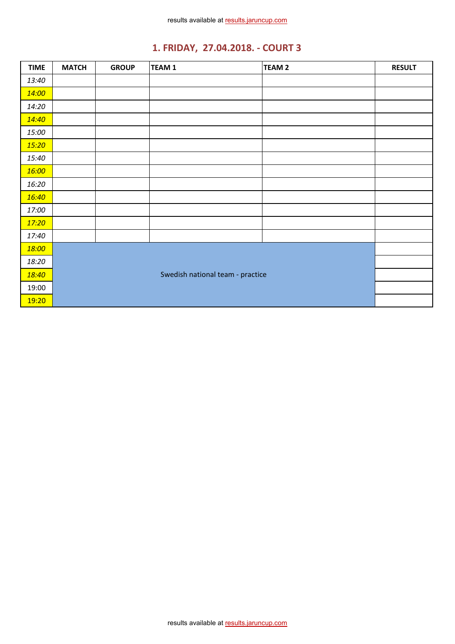| <b>TIME</b> | <b>MATCH</b> | <b>GROUP</b> | <b>TEAM1</b>                     | <b>TEAM 2</b> | <b>RESULT</b> |
|-------------|--------------|--------------|----------------------------------|---------------|---------------|
| 13:40       |              |              |                                  |               |               |
| 14:00       |              |              |                                  |               |               |
| 14:20       |              |              |                                  |               |               |
| 14:40       |              |              |                                  |               |               |
| 15:00       |              |              |                                  |               |               |
| 15:20       |              |              |                                  |               |               |
| 15:40       |              |              |                                  |               |               |
| 16:00       |              |              |                                  |               |               |
| 16:20       |              |              |                                  |               |               |
| 16:40       |              |              |                                  |               |               |
| 17:00       |              |              |                                  |               |               |
| 17:20       |              |              |                                  |               |               |
| 17:40       |              |              |                                  |               |               |
| 18:00       |              |              |                                  |               |               |
| 18:20       |              |              |                                  |               |               |
| 18:40       |              |              | Swedish national team - practice |               |               |
| 19:00       |              |              |                                  |               |               |
| 19:20       |              |              |                                  |               |               |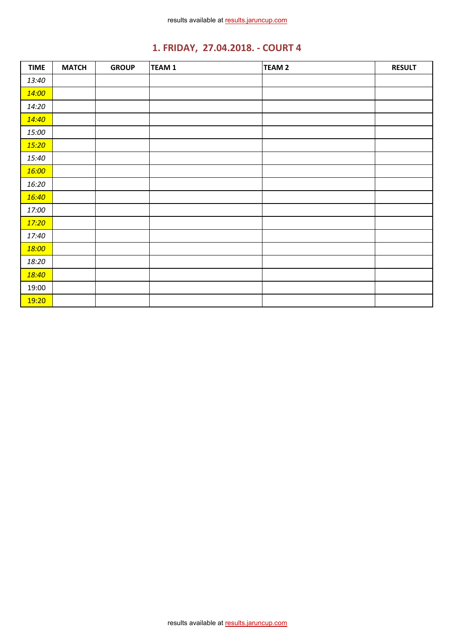| <b>TIME</b> | <b>MATCH</b> | <b>GROUP</b> | <b>TEAM 1</b> | <b>TEAM 2</b> | <b>RESULT</b> |
|-------------|--------------|--------------|---------------|---------------|---------------|
| 13:40       |              |              |               |               |               |
| 14:00       |              |              |               |               |               |
| 14:20       |              |              |               |               |               |
| 14:40       |              |              |               |               |               |
| 15:00       |              |              |               |               |               |
| 15:20       |              |              |               |               |               |
| 15:40       |              |              |               |               |               |
| 16:00       |              |              |               |               |               |
| 16:20       |              |              |               |               |               |
| 16:40       |              |              |               |               |               |
| 17:00       |              |              |               |               |               |
| 17:20       |              |              |               |               |               |
| 17:40       |              |              |               |               |               |
| 18:00       |              |              |               |               |               |
| 18:20       |              |              |               |               |               |
| 18:40       |              |              |               |               |               |
| 19:00       |              |              |               |               |               |
| 19:20       |              |              |               |               |               |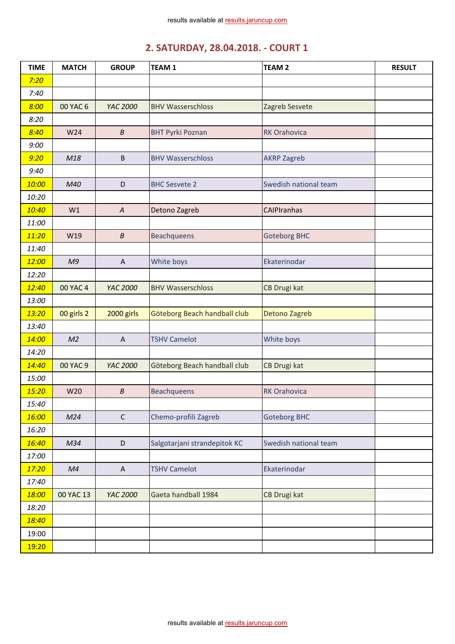## **2. SATURDAY, 28.04.2018. - COURT 1**

| <b>TIME</b> | <b>MATCH</b>   | <b>GROUP</b>              | <b>TEAM1</b>                 | <b>TEAM 2</b>         | <b>RESULT</b> |
|-------------|----------------|---------------------------|------------------------------|-----------------------|---------------|
| 7:20        |                |                           |                              |                       |               |
| 7:40        |                |                           |                              |                       |               |
| 8:00        | 00 YAC 6       | YAC 2000                  | <b>BHV Wasserschloss</b>     | Zagreb Sesvete        |               |
| 8:20        |                |                           |                              |                       |               |
| 8:40        | W24            | $\boldsymbol{B}$          | <b>BHT Pyrki Poznan</b>      | <b>RK Orahovica</b>   |               |
| 9:00        |                |                           |                              |                       |               |
| 9:20        | M18            | $\sf B$                   | <b>BHV Wasserschloss</b>     | <b>AKRP Zagreb</b>    |               |
| 9:40        |                |                           |                              |                       |               |
| 10:00       | M40            | D                         | <b>BHC Sesvete 2</b>         | Swedish national team |               |
| 10:20       |                |                           |                              |                       |               |
| 10:40       | W1             | $\boldsymbol{A}$          | Detono Zagreb                | <b>CAIPIranhas</b>    |               |
| 11:00       |                |                           |                              |                       |               |
| 11:20       | W19            | $\boldsymbol{B}$          | <b>Beachqueens</b>           | <b>Goteborg BHC</b>   |               |
| 11:40       |                |                           |                              |                       |               |
| 12:00       | M9             | $\boldsymbol{\mathsf{A}}$ | White boys                   | Ekaterinodar          |               |
| 12:20       |                |                           |                              |                       |               |
| 12:40       | 00 YAC 4       | YAC 2000                  | <b>BHV Wasserschloss</b>     | CB Drugi kat          |               |
| 13:00       |                |                           |                              |                       |               |
| 13:20       | 00 girls 2     | 2000 girls                | Göteborg Beach handball club | Detono Zagreb         |               |
| 13:40       |                |                           |                              |                       |               |
| 14:00       | M <sub>2</sub> | $\mathsf{A}$              | <b>TSHV Camelot</b>          | White boys            |               |
| 14:20       |                |                           |                              |                       |               |
| 14:40       | 00 YAC 9       | YAC 2000                  | Göteborg Beach handball club | CB Drugi kat          |               |
| 15:00       |                |                           |                              |                       |               |
| 15:20       | W20            | $\boldsymbol{B}$          | <b>Beachqueens</b>           | <b>RK Orahovica</b>   |               |
| 15:40       |                |                           |                              |                       |               |
| 16:00       | M24            | $\mathsf{C}$              | Chemo-profili Zagreb         | <b>Goteborg BHC</b>   |               |
| 16:20       |                |                           |                              |                       |               |
| 16:40       | M34            | D                         | Salgotarjani strandepitok KC | Swedish national team |               |
| 17:00       |                |                           |                              |                       |               |
| 17:20       | M <sub>4</sub> | $\boldsymbol{\mathsf{A}}$ | <b>TSHV Camelot</b>          | Ekaterinodar          |               |
| 17:40       |                |                           |                              |                       |               |
| 18:00       | 00 YAC 13      | YAC 2000                  | Gaeta handball 1984          | CB Drugi kat          |               |
| 18:20       |                |                           |                              |                       |               |
| 18:40       |                |                           |                              |                       |               |
| 19:00       |                |                           |                              |                       |               |
| 19:20       |                |                           |                              |                       |               |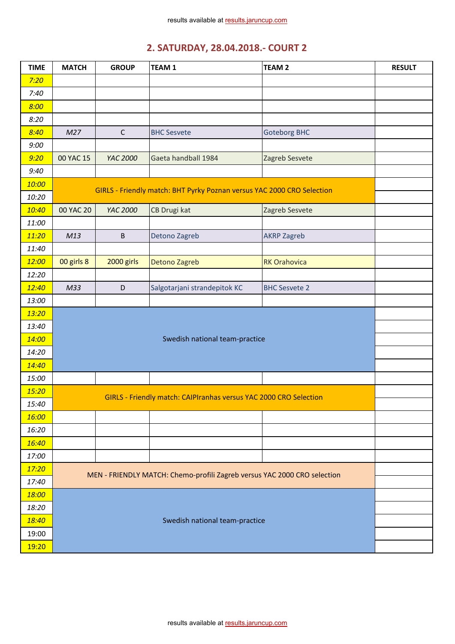## **2. SATURDAY, 28.04.2018.- COURT 2**

| <b>TIME</b> | <b>MATCH</b>    | <b>GROUP</b> | <b>TEAM1</b>                                                             | <b>TEAM 2</b>        | <b>RESULT</b> |
|-------------|-----------------|--------------|--------------------------------------------------------------------------|----------------------|---------------|
| 7:20        |                 |              |                                                                          |                      |               |
| 7:40        |                 |              |                                                                          |                      |               |
| 8:00        |                 |              |                                                                          |                      |               |
| 8:20        |                 |              |                                                                          |                      |               |
| 8:40        | M27             | $\mathsf{C}$ | <b>BHC Sesvete</b>                                                       | <b>Goteborg BHC</b>  |               |
| 9:00        |                 |              |                                                                          |                      |               |
| 9:20        | 00 YAC 15       | YAC 2000     | Gaeta handball 1984                                                      | Zagreb Sesvete       |               |
| 9:40        |                 |              |                                                                          |                      |               |
| 10:00       |                 |              | GIRLS - Friendly match: BHT Pyrky Poznan versus YAC 2000 CRO Selection   |                      |               |
| 10:20       |                 |              |                                                                          |                      |               |
| 10:40       | 00 YAC 20       | YAC 2000     | CB Drugi kat                                                             | Zagreb Sesvete       |               |
| 11:00       |                 |              |                                                                          |                      |               |
| 11:20       | M13             | $\sf B$      | Detono Zagreb                                                            | <b>AKRP Zagreb</b>   |               |
| 11:40       |                 |              |                                                                          |                      |               |
| 12:00       | 00 girls 8      | 2000 girls   | Detono Zagreb                                                            | <b>RK Orahovica</b>  |               |
| 12:20       |                 |              |                                                                          |                      |               |
| 12:40       | M <sub>33</sub> | D            | Salgotarjani strandepitok KC                                             | <b>BHC Sesvete 2</b> |               |
| 13:00       |                 |              |                                                                          |                      |               |
| 13:20       |                 |              |                                                                          |                      |               |
| 13:40       |                 |              |                                                                          |                      |               |
| 14:00       |                 |              | Swedish national team-practice                                           |                      |               |
| 14:20       |                 |              |                                                                          |                      |               |
| 14:40       |                 |              |                                                                          |                      |               |
| 15:00       |                 |              |                                                                          |                      |               |
| 15:20       |                 |              |                                                                          |                      |               |
| 15:40       |                 |              | GIRLS - Friendly match: CAIPIranhas versus YAC 2000 CRO Selection        |                      |               |
| 16:00       |                 |              |                                                                          |                      |               |
| 16:20       |                 |              |                                                                          |                      |               |
| 16:40       |                 |              |                                                                          |                      |               |
| 17:00       |                 |              |                                                                          |                      |               |
| 17:20       |                 |              | MEN - FRIENDLY MATCH: Chemo-profili Zagreb versus YAC 2000 CRO selection |                      |               |
| 17:40       |                 |              |                                                                          |                      |               |
| 18:00       |                 |              |                                                                          |                      |               |
| 18:20       |                 |              |                                                                          |                      |               |
| 18:40       |                 |              | Swedish national team-practice                                           |                      |               |
| 19:00       |                 |              |                                                                          |                      |               |
| 19:20       |                 |              |                                                                          |                      |               |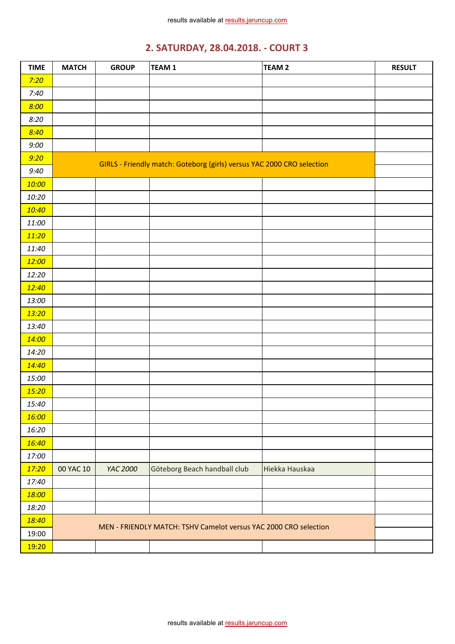# **2. SATURDAY, 28.04.2018. - COURT 3**

| <b>TIME</b> | <b>MATCH</b> | <b>GROUP</b> | TEAM <sub>1</sub>                                                      | TEAM <sub>2</sub> | <b>RESULT</b> |
|-------------|--------------|--------------|------------------------------------------------------------------------|-------------------|---------------|
| 7:20        |              |              |                                                                        |                   |               |
| 7:40        |              |              |                                                                        |                   |               |
| 8:00        |              |              |                                                                        |                   |               |
| 8:20        |              |              |                                                                        |                   |               |
| 8:40        |              |              |                                                                        |                   |               |
| 9:00        |              |              |                                                                        |                   |               |
| 9:20        |              |              |                                                                        |                   |               |
| 9:40        |              |              | GIRLS - Friendly match: Goteborg (girls) versus YAC 2000 CRO selection |                   |               |
| 10:00       |              |              |                                                                        |                   |               |
| 10:20       |              |              |                                                                        |                   |               |
| 10:40       |              |              |                                                                        |                   |               |
| 11:00       |              |              |                                                                        |                   |               |
| 11:20       |              |              |                                                                        |                   |               |
| 11:40       |              |              |                                                                        |                   |               |
| 12:00       |              |              |                                                                        |                   |               |
| 12:20       |              |              |                                                                        |                   |               |
| 12:40       |              |              |                                                                        |                   |               |
| 13:00       |              |              |                                                                        |                   |               |
| 13:20       |              |              |                                                                        |                   |               |
| 13:40       |              |              |                                                                        |                   |               |
| 14:00       |              |              |                                                                        |                   |               |
| 14:20       |              |              |                                                                        |                   |               |
| 14:40       |              |              |                                                                        |                   |               |
| 15:00       |              |              |                                                                        |                   |               |
| 15:20       |              |              |                                                                        |                   |               |
| 15:40       |              |              |                                                                        |                   |               |
| 16:00       |              |              |                                                                        |                   |               |
| 16:20       |              |              |                                                                        |                   |               |
| 16:40       |              |              |                                                                        |                   |               |
| 17:00       |              |              |                                                                        |                   |               |
| 17:20       | 00 YAC 10    | YAC 2000     | Göteborg Beach handball club                                           | Hiekka Hauskaa    |               |
| 17:40       |              |              |                                                                        |                   |               |
| 18:00       |              |              |                                                                        |                   |               |
| 18:20       |              |              |                                                                        |                   |               |
| 18:40       |              |              | MEN - FRIENDLY MATCH: TSHV Camelot versus YAC 2000 CRO selection       |                   |               |
| 19:00       |              |              |                                                                        |                   |               |
| 19:20       |              |              |                                                                        |                   |               |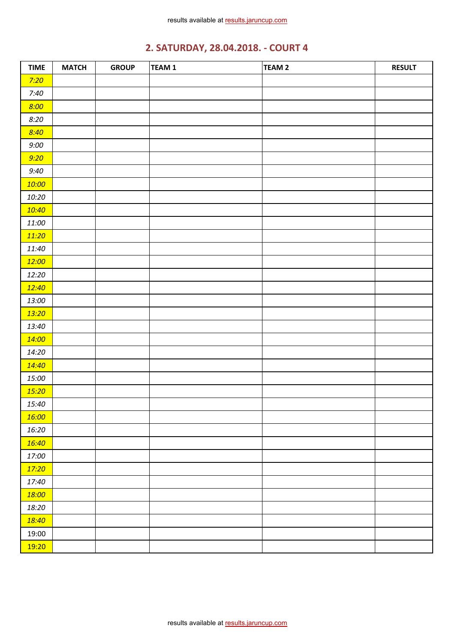# **2. SATURDAY, 28.04.2018. - COURT 4**

| <b>TIME</b> | <b>MATCH</b> | <b>GROUP</b> | TEAM 1 | TEAM 2 | <b>RESULT</b> |
|-------------|--------------|--------------|--------|--------|---------------|
| 7:20        |              |              |        |        |               |
| 7:40        |              |              |        |        |               |
| 8:00        |              |              |        |        |               |
| 8:20        |              |              |        |        |               |
| 8:40        |              |              |        |        |               |
| 9:00        |              |              |        |        |               |
| 9:20        |              |              |        |        |               |
| 9:40        |              |              |        |        |               |
| 10:00       |              |              |        |        |               |
| 10:20       |              |              |        |        |               |
| 10:40       |              |              |        |        |               |
| 11:00       |              |              |        |        |               |
| 11:20       |              |              |        |        |               |
| 11:40       |              |              |        |        |               |
| 12:00       |              |              |        |        |               |
| 12:20       |              |              |        |        |               |
| 12:40       |              |              |        |        |               |
| 13:00       |              |              |        |        |               |
| 13:20       |              |              |        |        |               |
| 13:40       |              |              |        |        |               |
| 14:00       |              |              |        |        |               |
| 14:20       |              |              |        |        |               |
| 14:40       |              |              |        |        |               |
| 15:00       |              |              |        |        |               |
| 15:20       |              |              |        |        |               |
| 15:40       |              |              |        |        |               |
| 16:00       |              |              |        |        |               |
| 16:20       |              |              |        |        |               |
| 16:40       |              |              |        |        |               |
| 17:00       |              |              |        |        |               |
| 17:20       |              |              |        |        |               |
| 17:40       |              |              |        |        |               |
| 18:00       |              |              |        |        |               |
| 18:20       |              |              |        |        |               |
| 18:40       |              |              |        |        |               |
| 19:00       |              |              |        |        |               |
| 19:20       |              |              |        |        |               |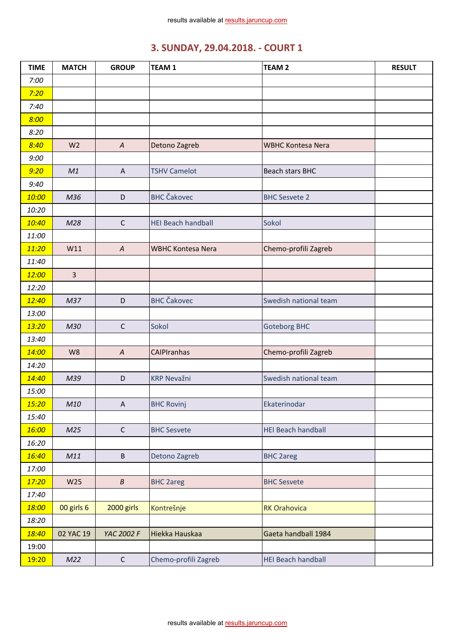| <b>TIME</b> | <b>MATCH</b>   | <b>GROUP</b>     | <b>TEAM1</b>              | <b>TEAM 2</b>             | <b>RESULT</b> |
|-------------|----------------|------------------|---------------------------|---------------------------|---------------|
| 7:00        |                |                  |                           |                           |               |
| 7:20        |                |                  |                           |                           |               |
| 7:40        |                |                  |                           |                           |               |
| 8:00        |                |                  |                           |                           |               |
| 8:20        |                |                  |                           |                           |               |
| 8:40        | W <sub>2</sub> | $\boldsymbol{A}$ | Detono Zagreb             | <b>WBHC Kontesa Nera</b>  |               |
| 9:00        |                |                  |                           |                           |               |
| 9:20        | M1             | $\overline{A}$   | <b>TSHV Camelot</b>       | Beach stars BHC           |               |
| 9:40        |                |                  |                           |                           |               |
| 10:00       | M36            | D                | <b>BHC Čakovec</b>        | <b>BHC Sesvete 2</b>      |               |
| 10:20       |                |                  |                           |                           |               |
| 10:40       | M28            | $\mathsf C$      | <b>HEI Beach handball</b> | Sokol                     |               |
| 11:00       |                |                  |                           |                           |               |
| 11:20       | W11            | $\boldsymbol{A}$ | <b>WBHC Kontesa Nera</b>  | Chemo-profili Zagreb      |               |
| 11:40       |                |                  |                           |                           |               |
| 12:00       | $\overline{3}$ |                  |                           |                           |               |
| 12:20       |                |                  |                           |                           |               |
| 12:40       | M37            | D                | <b>BHC Čakovec</b>        | Swedish national team     |               |
| 13:00       |                |                  |                           |                           |               |
| 13:20       | M30            | $\mathsf{C}$     | Sokol                     | <b>Goteborg BHC</b>       |               |
| 13:40       |                |                  |                           |                           |               |
| 14:00       | W8             | $\boldsymbol{A}$ | CAIPIranhas               | Chemo-profili Zagreb      |               |
| 14:20       |                |                  |                           |                           |               |
| 14:40       | M39            | $\mathsf D$      | <b>KRP Nevažni</b>        | Swedish national team     |               |
| 15:00       |                |                  |                           |                           |               |
| 15:20       | M10            | A                | <b>BHC Rovinj</b>         | Ekaterinodar              |               |
| 15:40       |                |                  |                           |                           |               |
| 16:00       | M25            | $\mathsf C$      | <b>BHC Sesvete</b>        | <b>HEI Beach handball</b> |               |
| 16:20       |                |                  |                           |                           |               |
| 16:40       | M11            | $\sf B$          | Detono Zagreb             | <b>BHC 2areg</b>          |               |
| 17:00       |                |                  |                           |                           |               |
| 17:20       | W25            | $\boldsymbol{B}$ | <b>BHC 2areg</b>          | <b>BHC Sesvete</b>        |               |
| 17:40       |                |                  |                           |                           |               |
| 18:00       | 00 girls 6     | 2000 girls       | Kontrešnje                | <b>RK Orahovica</b>       |               |
| 18:20       |                |                  |                           |                           |               |
| 18:40       | 02 YAC 19      | YAC 2002 F       | Hiekka Hauskaa            | Gaeta handball 1984       |               |
| 19:00       |                |                  |                           |                           |               |
| 19:20       | M22            | $\mathsf{C}$     | Chemo-profili Zagreb      | <b>HEI Beach handball</b> |               |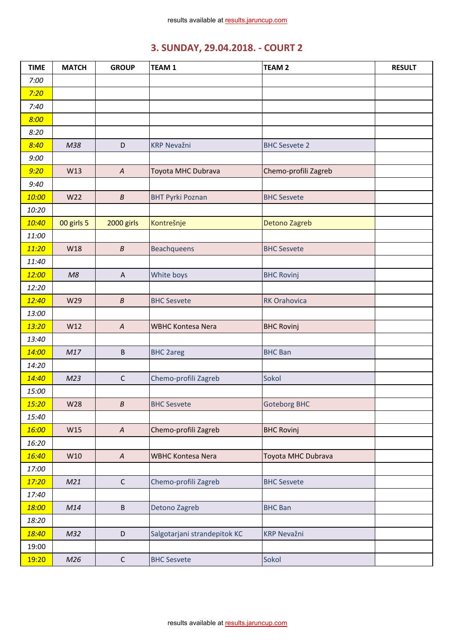| <b>TIME</b> | <b>MATCH</b> | <b>GROUP</b>     | <b>TEAM1</b>                 | <b>TEAM 2</b>        | <b>RESULT</b> |
|-------------|--------------|------------------|------------------------------|----------------------|---------------|
| 7:00        |              |                  |                              |                      |               |
| 7:20        |              |                  |                              |                      |               |
| 7:40        |              |                  |                              |                      |               |
| 8:00        |              |                  |                              |                      |               |
| 8:20        |              |                  |                              |                      |               |
| 8:40        | M38          | D                | <b>KRP Nevažni</b>           | <b>BHC Sesvete 2</b> |               |
| 9:00        |              |                  |                              |                      |               |
| 9:20        | W13          | $\overline{A}$   | Toyota MHC Dubrava           | Chemo-profili Zagreb |               |
| 9:40        |              |                  |                              |                      |               |
| 10:00       | W22          | $\boldsymbol{B}$ | <b>BHT Pyrki Poznan</b>      | <b>BHC Sesvete</b>   |               |
| 10:20       |              |                  |                              |                      |               |
| 10:40       | 00 girls 5   | 2000 girls       | Kontrešnje                   | <b>Detono Zagreb</b> |               |
| 11:00       |              |                  |                              |                      |               |
| 11:20       | W18          | $\boldsymbol{B}$ | Beachqueens                  | <b>BHC Sesvete</b>   |               |
| 11:40       |              |                  |                              |                      |               |
| 12:00       | M8           | A                | White boys                   | <b>BHC Rovinj</b>    |               |
| 12:20       |              |                  |                              |                      |               |
| 12:40       | W29          | $\boldsymbol{B}$ | <b>BHC Sesvete</b>           | <b>RK Orahovica</b>  |               |
| 13:00       |              |                  |                              |                      |               |
| 13:20       | W12          | $\boldsymbol{A}$ | <b>WBHC Kontesa Nera</b>     | <b>BHC Rovinj</b>    |               |
| 13:40       |              |                  |                              |                      |               |
| 14:00       | M17          | $\sf B$          | <b>BHC 2areg</b>             | <b>BHC Ban</b>       |               |
| 14:20       |              |                  |                              |                      |               |
| 14:40       | M23          | $\mathsf C$      | Chemo-profili Zagreb         | Sokol                |               |
| 15:00       |              |                  |                              |                      |               |
| 15:20       | W28          | B                | <b>BHC Sesvete</b>           | <b>Goteborg BHC</b>  |               |
| 15:40       |              |                  |                              |                      |               |
| 16:00       | W15          | $\boldsymbol{A}$ | Chemo-profili Zagreb         | <b>BHC Rovinj</b>    |               |
| 16:20       |              |                  |                              |                      |               |
| 16:40       | W10          | $\boldsymbol{A}$ | <b>WBHC Kontesa Nera</b>     | Toyota MHC Dubrava   |               |
| 17:00       |              |                  |                              |                      |               |
| 17:20       | M21          | $\mathsf{C}$     | Chemo-profili Zagreb         | <b>BHC Sesvete</b>   |               |
| 17:40       |              |                  |                              |                      |               |
| 18:00       | M14          | $\sf B$          | Detono Zagreb                | <b>BHC Ban</b>       |               |
| 18:20       |              |                  |                              |                      |               |
| 18:40       | M32          | D                | Salgotarjani strandepitok KC | <b>KRP Nevažni</b>   |               |
| 19:00       |              |                  |                              |                      |               |
| 19:20       | M26          | $\mathsf{C}$     | <b>BHC Sesvete</b>           | Sokol                |               |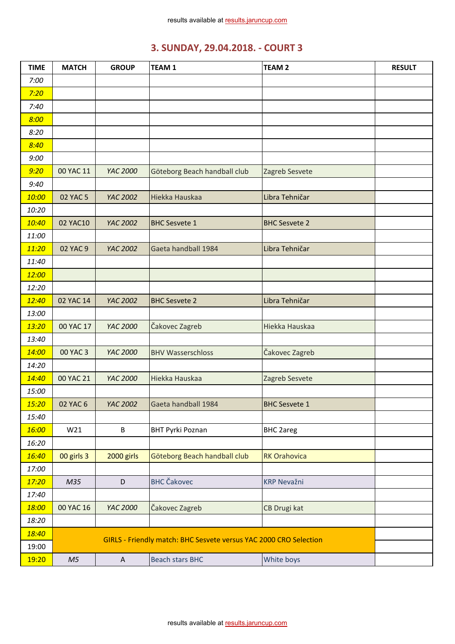| <b>TIME</b> | <b>MATCH</b>   | <b>GROUP</b> | TEAM <sub>1</sub>                                                 | <b>TEAM 2</b>        | <b>RESULT</b> |
|-------------|----------------|--------------|-------------------------------------------------------------------|----------------------|---------------|
| 7:00        |                |              |                                                                   |                      |               |
| 7:20        |                |              |                                                                   |                      |               |
| 7:40        |                |              |                                                                   |                      |               |
| 8:00        |                |              |                                                                   |                      |               |
| 8:20        |                |              |                                                                   |                      |               |
| 8:40        |                |              |                                                                   |                      |               |
| 9:00        |                |              |                                                                   |                      |               |
| 9:20        | 00 YAC 11      | YAC 2000     | Göteborg Beach handball club                                      | Zagreb Sesvete       |               |
| 9:40        |                |              |                                                                   |                      |               |
| 10:00       | 02 YAC 5       | YAC 2002     | Hiekka Hauskaa                                                    | Libra Tehničar       |               |
| 10:20       |                |              |                                                                   |                      |               |
| 10:40       | 02 YAC10       | YAC 2002     | <b>BHC Sesvete 1</b>                                              | <b>BHC Sesvete 2</b> |               |
| 11:00       |                |              |                                                                   |                      |               |
| 11:20       | 02 YAC 9       | YAC 2002     | Gaeta handball 1984                                               | Libra Tehničar       |               |
| 11:40       |                |              |                                                                   |                      |               |
| 12:00       |                |              |                                                                   |                      |               |
| 12:20       |                |              |                                                                   |                      |               |
| 12:40       | 02 YAC 14      | YAC 2002     | <b>BHC Sesvete 2</b>                                              | Libra Tehničar       |               |
| 13:00       |                |              |                                                                   |                      |               |
| 13:20       | 00 YAC 17      | YAC 2000     | Čakovec Zagreb                                                    | Hiekka Hauskaa       |               |
| 13:40       |                |              |                                                                   |                      |               |
| 14:00       | 00 YAC 3       | YAC 2000     | <b>BHV Wasserschloss</b>                                          | Čakovec Zagreb       |               |
| 14:20       |                |              |                                                                   |                      |               |
| 14:40       | 00 YAC 21      | YAC 2000     | Hiekka Hauskaa                                                    | Zagreb Sesvete       |               |
| 15:00       |                |              |                                                                   |                      |               |
| 15:20       | 02 YAC 6       | YAC 2002     | Gaeta handball 1984                                               | <b>BHC Sesvete 1</b> |               |
| 15:40       |                |              |                                                                   |                      |               |
| 16:00       | W21            | B            | <b>BHT Pyrki Poznan</b>                                           | <b>BHC 2areg</b>     |               |
| 16:20       |                |              |                                                                   |                      |               |
| 16:40       | 00 girls 3     | 2000 girls   | Göteborg Beach handball club                                      | <b>RK Orahovica</b>  |               |
| 17:00       |                |              |                                                                   |                      |               |
| 17:20       | M35            | $\mathsf D$  | <b>BHC</b> Čakovec                                                | <b>KRP Nevažni</b>   |               |
| 17:40       |                |              |                                                                   |                      |               |
| 18:00       | 00 YAC 16      | YAC 2000     | Čakovec Zagreb                                                    | CB Drugi kat         |               |
| 18:20       |                |              |                                                                   |                      |               |
| 18:40       |                |              | GIRLS - Friendly match: BHC Sesvete versus YAC 2000 CRO Selection |                      |               |
| 19:00       |                |              |                                                                   |                      |               |
| 19:20       | M <sub>5</sub> | $\mathsf{A}$ | <b>Beach stars BHC</b>                                            | White boys           |               |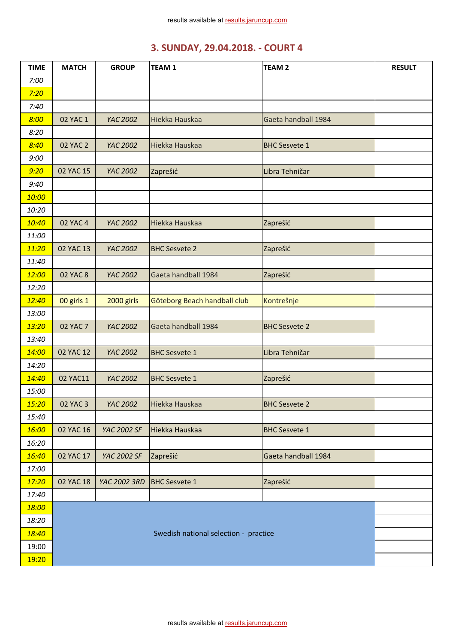| <b>TIME</b> | <b>MATCH</b>    | <b>GROUP</b> | <b>TEAM1</b>                          | <b>TEAM 2</b>        | <b>RESULT</b> |
|-------------|-----------------|--------------|---------------------------------------|----------------------|---------------|
| 7:00        |                 |              |                                       |                      |               |
| 7:20        |                 |              |                                       |                      |               |
| 7:40        |                 |              |                                       |                      |               |
| 8:00        | 02 YAC 1        | YAC 2002     | Hiekka Hauskaa                        | Gaeta handball 1984  |               |
| 8:20        |                 |              |                                       |                      |               |
| 8:40        | <b>02 YAC 2</b> | YAC 2002     | Hiekka Hauskaa                        | <b>BHC Sesvete 1</b> |               |
| 9:00        |                 |              |                                       |                      |               |
| 9:20        | 02 YAC 15       | YAC 2002     | Zaprešić                              | Libra Tehničar       |               |
| 9:40        |                 |              |                                       |                      |               |
| 10:00       |                 |              |                                       |                      |               |
| 10:20       |                 |              |                                       |                      |               |
| 10:40       | <b>02 YAC 4</b> | YAC 2002     | Hiekka Hauskaa                        | Zaprešić             |               |
| 11:00       |                 |              |                                       |                      |               |
| 11:20       | 02 YAC 13       | YAC 2002     | <b>BHC Sesvete 2</b>                  | Zaprešić             |               |
| 11:40       |                 |              |                                       |                      |               |
| 12:00       | <b>02 YAC 8</b> | YAC 2002     | Gaeta handball 1984                   | Zaprešić             |               |
| 12:20       |                 |              |                                       |                      |               |
| 12:40       | 00 girls 1      | 2000 girls   | Göteborg Beach handball club          | Kontrešnje           |               |
| 13:00       |                 |              |                                       |                      |               |
| 13:20       | <b>02 YAC 7</b> | YAC 2002     | Gaeta handball 1984                   | <b>BHC Sesvete 2</b> |               |
| 13:40       |                 |              |                                       |                      |               |
| 14:00       | 02 YAC 12       | YAC 2002     | <b>BHC Sesvete 1</b>                  | Libra Tehničar       |               |
| 14:20       |                 |              |                                       |                      |               |
| 14:40       | 02 YAC11        | YAC 2002     | <b>BHC Sesvete 1</b>                  | Zaprešić             |               |
| 15:00       |                 |              |                                       |                      |               |
| 15:20       | <b>02 YAC 3</b> | YAC 2002     | Hiekka Hauskaa                        | <b>BHC Sesvete 2</b> |               |
| 15:40       |                 |              |                                       |                      |               |
| 16:00       | 02 YAC 16       | YAC 2002 SF  | Hiekka Hauskaa                        | <b>BHC Sesvete 1</b> |               |
| 16:20       |                 |              |                                       |                      |               |
| 16:40       | 02 YAC 17       | YAC 2002 SF  | Zaprešić                              | Gaeta handball 1984  |               |
| 17:00       |                 |              |                                       |                      |               |
| 17:20       | 02 YAC 18       | YAC 2002 3RD | <b>BHC Sesvete 1</b>                  | Zaprešić             |               |
| 17:40       |                 |              |                                       |                      |               |
| 18:00       |                 |              |                                       |                      |               |
| 18:20       |                 |              |                                       |                      |               |
| 18:40       |                 |              | Swedish national selection - practice |                      |               |
| 19:00       |                 |              |                                       |                      |               |
| 19:20       |                 |              |                                       |                      |               |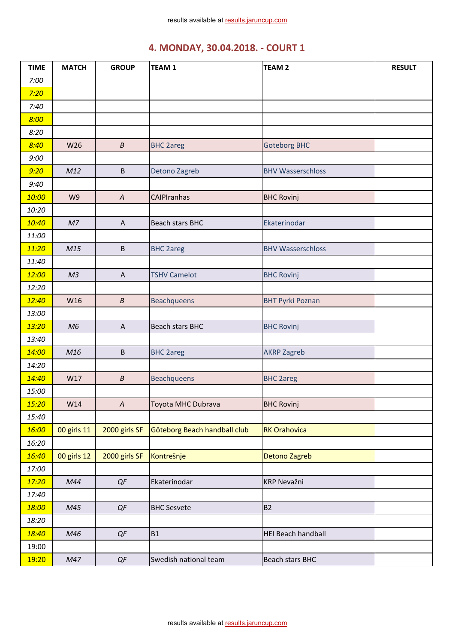| <b>TIME</b> | <b>MATCH</b>   | <b>GROUP</b>     | <b>TEAM1</b>                 | TEAM <sub>2</sub>         | <b>RESULT</b> |
|-------------|----------------|------------------|------------------------------|---------------------------|---------------|
| 7:00        |                |                  |                              |                           |               |
| 7:20        |                |                  |                              |                           |               |
| 7:40        |                |                  |                              |                           |               |
| 8:00        |                |                  |                              |                           |               |
| 8:20        |                |                  |                              |                           |               |
| 8:40        | W26            | $\boldsymbol{B}$ | <b>BHC 2areg</b>             | <b>Goteborg BHC</b>       |               |
| 9:00        |                |                  |                              |                           |               |
| 9:20        | M12            | B                | Detono Zagreb                | <b>BHV Wasserschloss</b>  |               |
| 9:40        |                |                  |                              |                           |               |
| 10:00       | W9             | $\boldsymbol{A}$ | <b>CAIPIranhas</b>           | <b>BHC Rovinj</b>         |               |
| 10:20       |                |                  |                              |                           |               |
| 10:40       | M <sub>7</sub> | $\overline{A}$   | <b>Beach stars BHC</b>       | Ekaterinodar              |               |
| 11:00       |                |                  |                              |                           |               |
| 11:20       | M15            | B                | <b>BHC 2areg</b>             | <b>BHV Wasserschloss</b>  |               |
| 11:40       |                |                  |                              |                           |               |
| 12:00       | M <sub>3</sub> | A                | <b>TSHV Camelot</b>          | <b>BHC Rovinj</b>         |               |
| 12:20       |                |                  |                              |                           |               |
| 12:40       | W16            | $\boldsymbol{B}$ | <b>Beachqueens</b>           | <b>BHT Pyrki Poznan</b>   |               |
| 13:00       |                |                  |                              |                           |               |
| 13:20       | M6             | $\mathsf{A}$     | Beach stars BHC              | <b>BHC Rovinj</b>         |               |
| 13:40       |                |                  |                              |                           |               |
| 14:00       | M16            | B                | <b>BHC 2areg</b>             | <b>AKRP Zagreb</b>        |               |
| 14:20       |                |                  |                              |                           |               |
| 14:40       | W17            | $\boldsymbol{B}$ | Beachqueens                  | <b>BHC 2areg</b>          |               |
| 15:00       |                |                  |                              |                           |               |
| 15:20       | W14            | $\boldsymbol{A}$ | Toyota MHC Dubrava           | <b>BHC Rovinj</b>         |               |
| 15:40       |                |                  |                              |                           |               |
| 16:00       | 00 girls 11    | 2000 girls SF    | Göteborg Beach handball club | <b>RK Orahovica</b>       |               |
| 16:20       |                |                  |                              |                           |               |
| 16:40       | 00 girls 12    | 2000 girls SF    | Kontrešnje                   | Detono Zagreb             |               |
| 17:00       |                |                  |                              |                           |               |
| 17:20       | M44            | QF               | Ekaterinodar                 | <b>KRP Nevažni</b>        |               |
| 17:40       |                |                  |                              |                           |               |
| 18:00       | M45            | QF               | <b>BHC Sesvete</b>           | <b>B2</b>                 |               |
| 18:20       |                |                  |                              |                           |               |
| 18:40       | M46            | QF               | <b>B1</b>                    | <b>HEI Beach handball</b> |               |
| 19:00       |                |                  |                              |                           |               |
| 19:20       | M47            | $QF$             | Swedish national team        | Beach stars BHC           |               |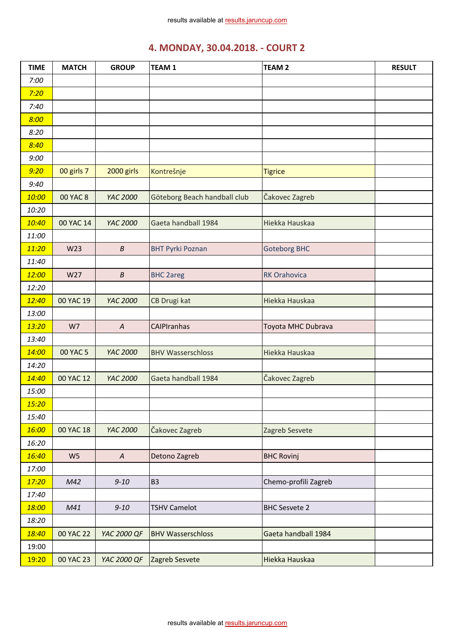| <b>TIME</b> | <b>MATCH</b>    | <b>GROUP</b>     | TEAM <sub>1</sub>            | <b>TEAM 2</b>        | <b>RESULT</b> |
|-------------|-----------------|------------------|------------------------------|----------------------|---------------|
| 7:00        |                 |                  |                              |                      |               |
| 7:20        |                 |                  |                              |                      |               |
| 7:40        |                 |                  |                              |                      |               |
| 8:00        |                 |                  |                              |                      |               |
| 8:20        |                 |                  |                              |                      |               |
| 8:40        |                 |                  |                              |                      |               |
| 9:00        |                 |                  |                              |                      |               |
| 9:20        | 00 girls 7      | 2000 girls       | Kontrešnje                   | <b>Tigrice</b>       |               |
| 9:40        |                 |                  |                              |                      |               |
| 10:00       | <b>00 YAC 8</b> | YAC 2000         | Göteborg Beach handball club | Čakovec Zagreb       |               |
| 10:20       |                 |                  |                              |                      |               |
| 10:40       | 00 YAC 14       | YAC 2000         | Gaeta handball 1984          | Hiekka Hauskaa       |               |
| 11:00       |                 |                  |                              |                      |               |
| 11:20       | W23             | $\boldsymbol{B}$ | <b>BHT Pyrki Poznan</b>      | <b>Goteborg BHC</b>  |               |
| 11:40       |                 |                  |                              |                      |               |
| 12:00       | W27             | $\boldsymbol{B}$ | <b>BHC 2areg</b>             | <b>RK Orahovica</b>  |               |
| 12:20       |                 |                  |                              |                      |               |
| 12:40       | 00 YAC 19       | YAC 2000         | CB Drugi kat                 | Hiekka Hauskaa       |               |
| 13:00       |                 |                  |                              |                      |               |
| 13:20       | W7              | $\boldsymbol{A}$ | CAIPIranhas                  | Toyota MHC Dubrava   |               |
| 13:40       |                 |                  |                              |                      |               |
| 14:00       | 00 YAC 5        | YAC 2000         | <b>BHV Wasserschloss</b>     | Hiekka Hauskaa       |               |
| 14:20       |                 |                  |                              |                      |               |
| 14:40       | 00 YAC 12       | YAC 2000         | Gaeta handball 1984          | Čakovec Zagreb       |               |
| 15:00       |                 |                  |                              |                      |               |
| 15:20       |                 |                  |                              |                      |               |
| 15:40       |                 |                  |                              |                      |               |
| 16:00       | 00 YAC 18       | YAC 2000         | Čakovec Zagreb               | Zagreb Sesvete       |               |
| 16:20       |                 |                  |                              |                      |               |
| 16:40       | W <sub>5</sub>  | $\boldsymbol{A}$ | Detono Zagreb                | <b>BHC Rovinj</b>    |               |
| 17:00       |                 |                  |                              |                      |               |
| 17:20       | M42             | $9 - 10$         | B <sub>3</sub>               | Chemo-profili Zagreb |               |
| 17:40       |                 |                  |                              |                      |               |
| 18:00       | M41             | $9 - 10$         | <b>TSHV Camelot</b>          | <b>BHC Sesvete 2</b> |               |
| 18:20       |                 |                  |                              |                      |               |
| 18:40       | 00 YAC 22       | YAC 2000 QF      | <b>BHV Wasserschloss</b>     | Gaeta handball 1984  |               |
| 19:00       |                 |                  |                              |                      |               |
| 19:20       | 00 YAC 23       | YAC 2000 QF      | Zagreb Sesvete               | Hiekka Hauskaa       |               |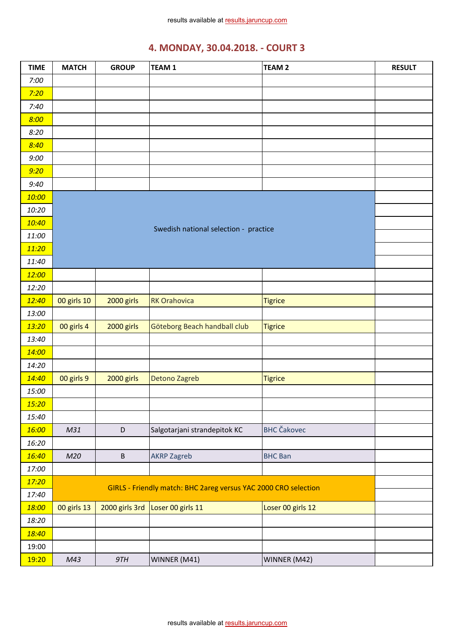| <b>TIME</b> | <b>MATCH</b> | <b>GROUP</b>   | <b>TEAM1</b>                                                    | <b>TEAM 2</b>      | <b>RESULT</b> |
|-------------|--------------|----------------|-----------------------------------------------------------------|--------------------|---------------|
| 7:00        |              |                |                                                                 |                    |               |
| 7:20        |              |                |                                                                 |                    |               |
| 7:40        |              |                |                                                                 |                    |               |
| 8:00        |              |                |                                                                 |                    |               |
| 8:20        |              |                |                                                                 |                    |               |
| 8:40        |              |                |                                                                 |                    |               |
| 9:00        |              |                |                                                                 |                    |               |
| 9:20        |              |                |                                                                 |                    |               |
| 9:40        |              |                |                                                                 |                    |               |
| 10:00       |              |                |                                                                 |                    |               |
| 10:20       |              |                |                                                                 |                    |               |
| 10:40       |              |                |                                                                 |                    |               |
| 11:00       |              |                | Swedish national selection - practice                           |                    |               |
| 11:20       |              |                |                                                                 |                    |               |
| 11:40       |              |                |                                                                 |                    |               |
| 12:00       |              |                |                                                                 |                    |               |
| 12:20       |              |                |                                                                 |                    |               |
| 12:40       | 00 girls 10  | 2000 girls     | <b>RK Orahovica</b>                                             | <b>Tigrice</b>     |               |
| 13:00       |              |                |                                                                 |                    |               |
| 13:20       | 00 girls 4   | 2000 girls     | Göteborg Beach handball club                                    | <b>Tigrice</b>     |               |
| 13:40       |              |                |                                                                 |                    |               |
| 14:00       |              |                |                                                                 |                    |               |
| 14:20       |              |                |                                                                 |                    |               |
| 14:40       | 00 girls 9   | 2000 girls     | Detono Zagreb                                                   | <b>Tigrice</b>     |               |
| 15:00       |              |                |                                                                 |                    |               |
| 15:20       |              |                |                                                                 |                    |               |
| 15:40       |              |                |                                                                 |                    |               |
| 16:00       | M31          | $\mathsf D$    | Salgotarjani strandepitok KC                                    | <b>BHC</b> Čakovec |               |
| 16:20       |              |                |                                                                 |                    |               |
| 16:40       | M20          | $\sf B$        | <b>AKRP Zagreb</b>                                              | <b>BHC Ban</b>     |               |
| 17:00       |              |                |                                                                 |                    |               |
| 17:20       |              |                | GIRLS - Friendly match: BHC 2areg versus YAC 2000 CRO selection |                    |               |
| 17:40       |              |                |                                                                 |                    |               |
| 18:00       | 00 girls 13  | 2000 girls 3rd | Loser 00 girls 11                                               | Loser 00 girls 12  |               |
| 18:20       |              |                |                                                                 |                    |               |
| 18:40       |              |                |                                                                 |                    |               |
| 19:00       |              |                |                                                                 |                    |               |
| 19:20       | M43          | 9TH            | WINNER (M41)                                                    | WINNER (M42)       |               |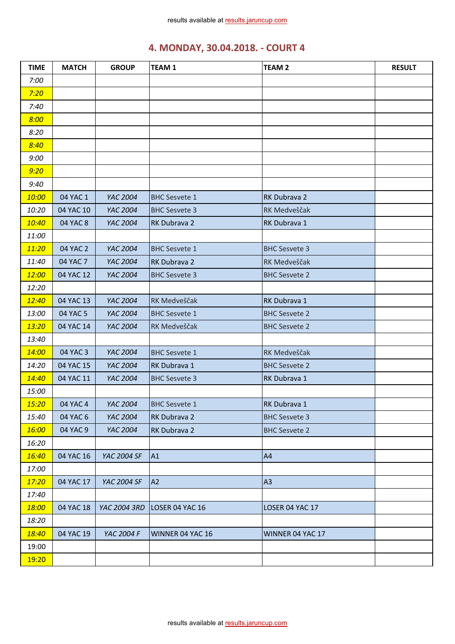| <b>TIME</b> | <b>MATCH</b> | <b>GROUP</b> | <b>TEAM1</b>         | <b>TEAM 2</b>        | <b>RESULT</b> |
|-------------|--------------|--------------|----------------------|----------------------|---------------|
| 7:00        |              |              |                      |                      |               |
| 7:20        |              |              |                      |                      |               |
| 7:40        |              |              |                      |                      |               |
| 8:00        |              |              |                      |                      |               |
| 8:20        |              |              |                      |                      |               |
| 8:40        |              |              |                      |                      |               |
| 9:00        |              |              |                      |                      |               |
| 9:20        |              |              |                      |                      |               |
| 9:40        |              |              |                      |                      |               |
| 10:00       | 04 YAC 1     | YAC 2004     | <b>BHC Sesvete 1</b> | RK Dubrava 2         |               |
| 10:20       | 04 YAC 10    | YAC 2004     | <b>BHC Sesvete 3</b> | RK Medveščak         |               |
| 10:40       | 04 YAC 8     | YAC 2004     | RK Dubrava 2         | RK Dubrava 1         |               |
| 11:00       |              |              |                      |                      |               |
| 11:20       | 04 YAC 2     | YAC 2004     | <b>BHC Sesvete 1</b> | <b>BHC Sesvete 3</b> |               |
| 11:40       | 04 YAC 7     | YAC 2004     | RK Dubrava 2         | RK Medveščak         |               |
| 12:00       | 04 YAC 12    | YAC 2004     | <b>BHC Sesvete 3</b> | <b>BHC Sesvete 2</b> |               |
| 12:20       |              |              |                      |                      |               |
| 12:40       | 04 YAC 13    | YAC 2004     | RK Medveščak         | RK Dubrava 1         |               |
| 13:00       | 04 YAC 5     | YAC 2004     | <b>BHC Sesvete 1</b> | <b>BHC Sesvete 2</b> |               |
| 13:20       | 04 YAC 14    | YAC 2004     | RK Medveščak         | <b>BHC Sesvete 2</b> |               |
| 13:40       |              |              |                      |                      |               |
| 14:00       | 04 YAC 3     | YAC 2004     | <b>BHC Sesvete 1</b> | RK Medveščak         |               |
| 14:20       | 04 YAC 15    | YAC 2004     | RK Dubrava 1         | <b>BHC Sesvete 2</b> |               |
| 14:40       | 04 YAC 11    | YAC 2004     | <b>BHC Sesvete 3</b> | RK Dubrava 1         |               |
| 15:00       |              |              |                      |                      |               |
| 15:20       | 04 YAC 4     | YAC 2004     | <b>BHC Sesvete 1</b> | RK Dubrava 1         |               |
| 15:40       | 04 YAC 6     | YAC 2004     | RK Dubrava 2         | <b>BHC Sesvete 3</b> |               |
| 16:00       | 04 YAC 9     | YAC 2004     | RK Dubrava 2         | <b>BHC Sesvete 2</b> |               |
| 16:20       |              |              |                      |                      |               |
| 16:40       | 04 YAC 16    | YAC 2004 SF  | A1                   | A4                   |               |
| 17:00       |              |              |                      |                      |               |
| 17:20       | 04 YAC 17    | YAC 2004 SF  | A <sub>2</sub>       | A3                   |               |
| 17:40       |              |              |                      |                      |               |
| 18:00       | 04 YAC 18    | YAC 2004 3RD | LOSER 04 YAC 16      | LOSER 04 YAC 17      |               |
| 18:20       |              |              |                      |                      |               |
| 18:40       | 04 YAC 19    | YAC 2004 F   | WINNER 04 YAC 16     | WINNER 04 YAC 17     |               |
| 19:00       |              |              |                      |                      |               |
| 19:20       |              |              |                      |                      |               |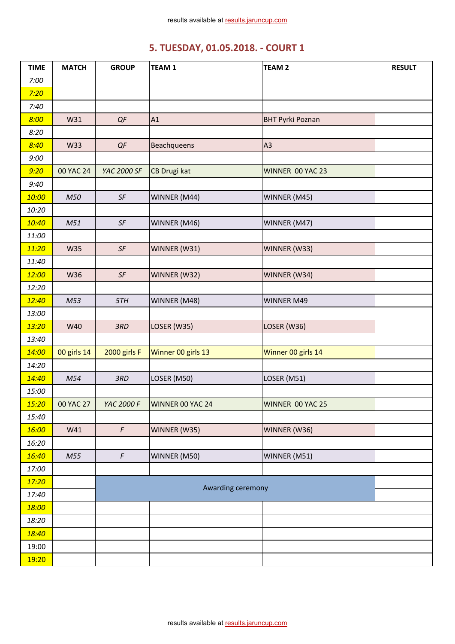# **5. TUESDAY, 01.05.2018. - COURT 1**

| <b>TIME</b> | <b>MATCH</b> | <b>GROUP</b>           | <b>TEAM1</b>       | <b>TEAM 2</b>           | <b>RESULT</b> |
|-------------|--------------|------------------------|--------------------|-------------------------|---------------|
| 7:00        |              |                        |                    |                         |               |
| 7:20        |              |                        |                    |                         |               |
| 7:40        |              |                        |                    |                         |               |
| 8:00        | W31          | QF                     | A1                 | <b>BHT Pyrki Poznan</b> |               |
| 8:20        |              |                        |                    |                         |               |
| 8:40        | W33          | QF                     | Beachqueens        | A3                      |               |
| 9:00        |              |                        |                    |                         |               |
| 9:20        | 00 YAC 24    | YAC 2000 SF            | CB Drugi kat       | WINNER 00 YAC 23        |               |
| 9:40        |              |                        |                    |                         |               |
| 10:00       | M50          | SF                     | WINNER (M44)       | WINNER (M45)            |               |
| 10:20       |              |                        |                    |                         |               |
| 10:40       | M51          | SF                     | WINNER (M46)       | WINNER (M47)            |               |
| 11:00       |              |                        |                    |                         |               |
| 11:20       | <b>W35</b>   | $\mathsf{S}\mathsf{F}$ | WINNER (W31)       | WINNER (W33)            |               |
| 11:40       |              |                        |                    |                         |               |
| 12:00       | W36          | SF                     | WINNER (W32)       | WINNER (W34)            |               |
| 12:20       |              |                        |                    |                         |               |
| 12:40       | M53          | 5TH                    | WINNER (M48)       | <b>WINNER M49</b>       |               |
| 13:00       |              |                        |                    |                         |               |
| 13:20       | W40          | 3RD                    | LOSER (W35)        | LOSER (W36)             |               |
| 13:40       |              |                        |                    |                         |               |
| 14:00       | 00 girls 14  | 2000 girls F           | Winner 00 girls 13 | Winner 00 girls 14      |               |
| 14:20       |              |                        |                    |                         |               |
| 14:40       | M54          | 3RD                    | LOSER (M50)        | LOSER (M51)             |               |
| 15:00       |              |                        |                    |                         |               |
| 15:20       | 00 YAC 27    | <b>YAC 2000 F</b>      | WINNER 00 YAC 24   | WINNER 00 YAC 25        |               |
| 15:40       |              |                        |                    |                         |               |
| 16:00       | W41          | $\sqrt{F}$             | WINNER (W35)       | WINNER (W36)            |               |
| 16:20       |              |                        |                    |                         |               |
| 16:40       | M55          | $\digamma$             | WINNER (M50)       | WINNER (M51)            |               |
| 17:00       |              |                        |                    |                         |               |
| 17:20       |              |                        | Awarding ceremony  |                         |               |
| 17:40       |              |                        |                    |                         |               |
| 18:00       |              |                        |                    |                         |               |
| 18:20       |              |                        |                    |                         |               |
| 18:40       |              |                        |                    |                         |               |
| 19:00       |              |                        |                    |                         |               |
| 19:20       |              |                        |                    |                         |               |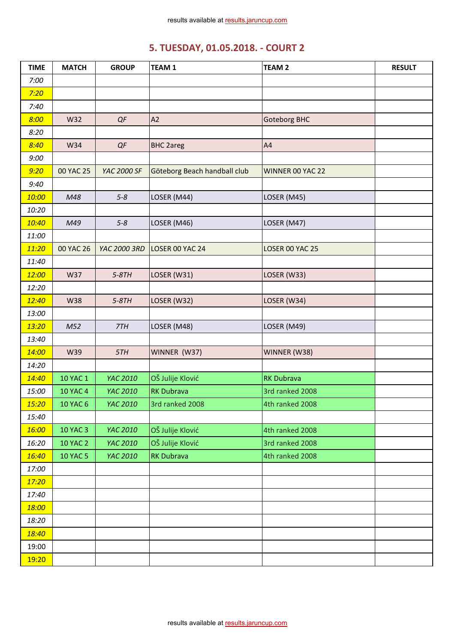# **5. TUESDAY, 01.05.2018. - COURT 2**

| <b>TIME</b> | <b>MATCH</b>    | <b>GROUP</b> | <b>TEAM1</b>                 | <b>TEAM 2</b>       | <b>RESULT</b> |
|-------------|-----------------|--------------|------------------------------|---------------------|---------------|
| 7:00        |                 |              |                              |                     |               |
| 7:20        |                 |              |                              |                     |               |
| 7:40        |                 |              |                              |                     |               |
| 8:00        | W32             | QF           | A2                           | <b>Goteborg BHC</b> |               |
| 8:20        |                 |              |                              |                     |               |
| 8:40        | W34             | QF           | <b>BHC 2areg</b>             | A4                  |               |
| 9:00        |                 |              |                              |                     |               |
| 9:20        | 00 YAC 25       | YAC 2000 SF  | Göteborg Beach handball club | WINNER 00 YAC 22    |               |
| 9:40        |                 |              |                              |                     |               |
| 10:00       | M48             | $5 - 8$      | LOSER (M44)                  | LOSER (M45)         |               |
| 10:20       |                 |              |                              |                     |               |
| 10:40       | M49             | $5 - 8$      | LOSER (M46)                  | LOSER (M47)         |               |
| 11:00       |                 |              |                              |                     |               |
| 11:20       | 00 YAC 26       | YAC 2000 3RD | LOSER 00 YAC 24              | LOSER 00 YAC 25     |               |
| 11:40       |                 |              |                              |                     |               |
| 12:00       | W37             | $5-8TH$      | LOSER (W31)                  | LOSER (W33)         |               |
| 12:20       |                 |              |                              |                     |               |
| 12:40       | <b>W38</b>      | $5-8TH$      | LOSER (W32)                  | LOSER (W34)         |               |
| 13:00       |                 |              |                              |                     |               |
| 13:20       | M52             | 7TH          | LOSER (M48)                  | LOSER (M49)         |               |
| 13:40       |                 |              |                              |                     |               |
| 14:00       | W39             | 5TH          | WINNER (W37)                 | WINNER (W38)        |               |
| 14:20       |                 |              |                              |                     |               |
| 14:40       | <b>10 YAC 1</b> | YAC 2010     | OŠ Julije Klović             | <b>RK Dubrava</b>   |               |
| 15:00       | <b>10 YAC 4</b> | YAC 2010     | <b>RK Dubrava</b>            | 3rd ranked 2008     |               |
| 15:20       | <b>10 YAC 6</b> | YAC 2010     | 3rd ranked 2008              | 4th ranked 2008     |               |
| 15:40       |                 |              |                              |                     |               |
| 16:00       | <b>10 YAC 3</b> | YAC 2010     | OŠ Julije Klović             | 4th ranked 2008     |               |
| 16:20       | <b>10 YAC 2</b> | YAC 2010     | OŠ Julije Klović             | 3rd ranked 2008     |               |
| 16:40       | <b>10 YAC 5</b> | YAC 2010     | <b>RK Dubrava</b>            | 4th ranked 2008     |               |
| 17:00       |                 |              |                              |                     |               |
| 17:20       |                 |              |                              |                     |               |
| 17:40       |                 |              |                              |                     |               |
| 18:00       |                 |              |                              |                     |               |
| 18:20       |                 |              |                              |                     |               |
| 18:40       |                 |              |                              |                     |               |
| 19:00       |                 |              |                              |                     |               |
| 19:20       |                 |              |                              |                     |               |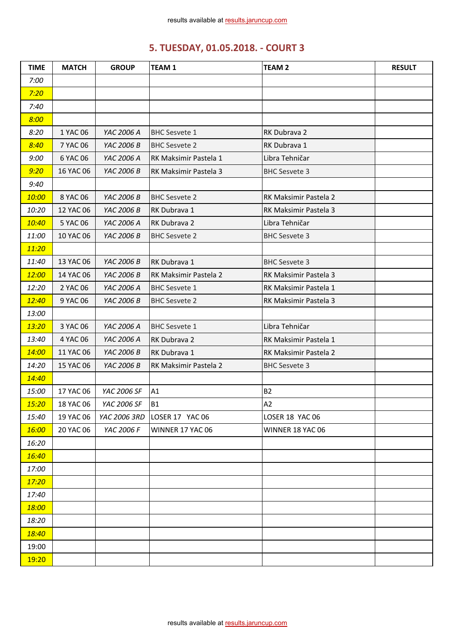# **5. TUESDAY, 01.05.2018. - COURT 3**

| <b>TIME</b> | <b>MATCH</b> | <b>GROUP</b> | <b>TEAM1</b>          | <b>TEAM 2</b>         | <b>RESULT</b> |
|-------------|--------------|--------------|-----------------------|-----------------------|---------------|
| 7:00        |              |              |                       |                       |               |
| 7:20        |              |              |                       |                       |               |
| 7:40        |              |              |                       |                       |               |
| 8:00        |              |              |                       |                       |               |
| 8:20        | 1 YAC 06     | YAC 2006 A   | <b>BHC Sesvete 1</b>  | RK Dubrava 2          |               |
| 8:40        | 7 YAC 06     | YAC 2006 B   | <b>BHC Sesvete 2</b>  | RK Dubrava 1          |               |
| 9:00        | 6 YAC 06     | YAC 2006 A   | RK Maksimir Pastela 1 | Libra Tehničar        |               |
| 9:20        | 16 YAC 06    | YAC 2006 B   | RK Maksimir Pastela 3 | <b>BHC Sesvete 3</b>  |               |
| 9:40        |              |              |                       |                       |               |
| 10:00       | 8 YAC 06     | YAC 2006 B   | <b>BHC Sesvete 2</b>  | RK Maksimir Pastela 2 |               |
| 10:20       | 12 YAC 06    | YAC 2006 B   | RK Dubrava 1          | RK Maksimir Pastela 3 |               |
| 10:40       | 5 YAC 06     | YAC 2006 A   | RK Dubrava 2          | Libra Tehničar        |               |
| 11:00       | 10 YAC 06    | YAC 2006 B   | <b>BHC Sesvete 2</b>  | <b>BHC Sesvete 3</b>  |               |
| 11:20       |              |              |                       |                       |               |
| 11:40       | 13 YAC 06    | YAC 2006 B   | RK Dubrava 1          | <b>BHC Sesvete 3</b>  |               |
| 12:00       | 14 YAC 06    | YAC 2006 B   | RK Maksimir Pastela 2 | RK Maksimir Pastela 3 |               |
| 12:20       | 2 YAC 06     | YAC 2006 A   | <b>BHC Sesvete 1</b>  | RK Maksimir Pastela 1 |               |
| 12:40       | 9 YAC 06     | YAC 2006 B   | <b>BHC Sesvete 2</b>  | RK Maksimir Pastela 3 |               |
| 13:00       |              |              |                       |                       |               |
| 13:20       | 3 YAC 06     | YAC 2006 A   | <b>BHC Sesvete 1</b>  | Libra Tehničar        |               |
| 13:40       | 4 YAC 06     | YAC 2006 A   | RK Dubrava 2          | RK Maksimir Pastela 1 |               |
| 14:00       | 11 YAC 06    | YAC 2006 B   | RK Dubrava 1          | RK Maksimir Pastela 2 |               |
| 14:20       | 15 YAC 06    | YAC 2006 B   | RK Maksimir Pastela 2 | <b>BHC Sesvete 3</b>  |               |
| 14:40       |              |              |                       |                       |               |
| 15:00       | 17 YAC 06    | YAC 2006 SF  | A1                    | <b>B2</b>             |               |
| 15:20       | 18 YAC 06    | YAC 2006 SF  | <b>B1</b>             | A2                    |               |
| 15:40       | 19 YAC 06    | YAC 2006 3RD | LOSER 17 YAC 06       | LOSER 18 YAC 06       |               |
| 16:00       | 20 YAC 06    | YAC 2006 F   | WINNER 17 YAC 06      | WINNER 18 YAC 06      |               |
| 16:20       |              |              |                       |                       |               |
| 16:40       |              |              |                       |                       |               |
| 17:00       |              |              |                       |                       |               |
| 17:20       |              |              |                       |                       |               |
| 17:40       |              |              |                       |                       |               |
| 18:00       |              |              |                       |                       |               |
| 18:20       |              |              |                       |                       |               |
| 18:40       |              |              |                       |                       |               |
| 19:00       |              |              |                       |                       |               |
| 19:20       |              |              |                       |                       |               |